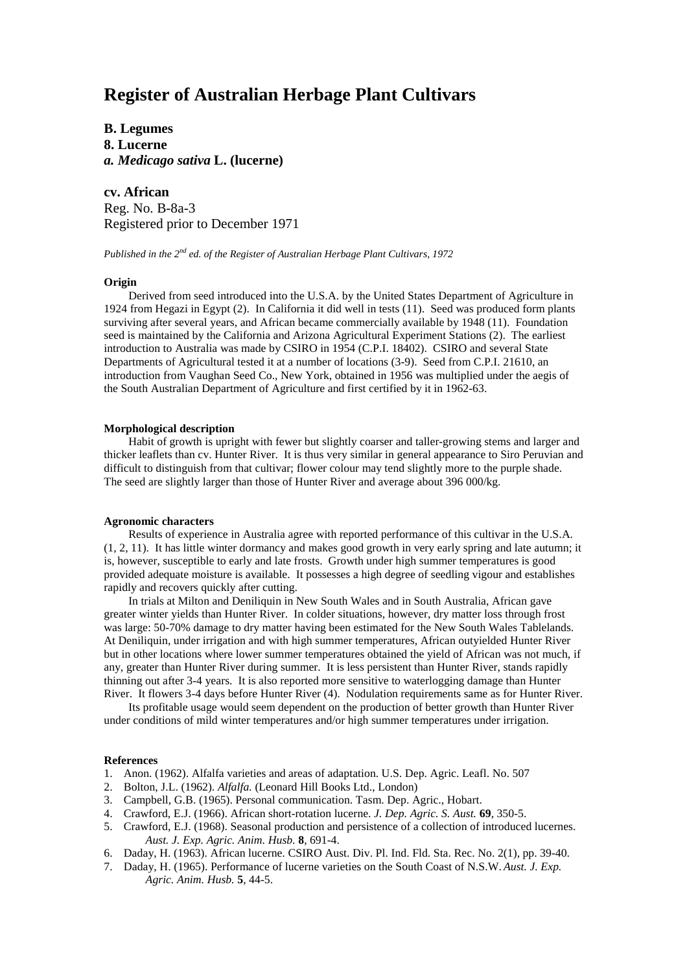# **Register of Australian Herbage Plant Cultivars**

**B. Legumes 8. Lucerne** *a. Medicago sativa* **L. (lucerne)**

**cv. African** Reg. No. B-8a-3 Registered prior to December 1971

*Published in the 2nd ed. of the Register of Australian Herbage Plant Cultivars, 1972*

## **Origin**

Derived from seed introduced into the U.S.A. by the United States Department of Agriculture in 1924 from Hegazi in Egypt (2). In California it did well in tests (11). Seed was produced form plants surviving after several years, and African became commercially available by 1948 (11). Foundation seed is maintained by the California and Arizona Agricultural Experiment Stations (2). The earliest introduction to Australia was made by CSIRO in 1954 (C.P.I. 18402). CSIRO and several State Departments of Agricultural tested it at a number of locations (3-9). Seed from C.P.I. 21610, an introduction from Vaughan Seed Co., New York, obtained in 1956 was multiplied under the aegis of the South Australian Department of Agriculture and first certified by it in 1962-63.

## **Morphological description**

Habit of growth is upright with fewer but slightly coarser and taller-growing stems and larger and thicker leaflets than cv. Hunter River. It is thus very similar in general appearance to Siro Peruvian and difficult to distinguish from that cultivar; flower colour may tend slightly more to the purple shade. The seed are slightly larger than those of Hunter River and average about 396 000/kg.

#### **Agronomic characters**

Results of experience in Australia agree with reported performance of this cultivar in the U.S.A. (1, 2, 11). It has little winter dormancy and makes good growth in very early spring and late autumn; it is, however, susceptible to early and late frosts. Growth under high summer temperatures is good provided adequate moisture is available. It possesses a high degree of seedling vigour and establishes rapidly and recovers quickly after cutting.

In trials at Milton and Deniliquin in New South Wales and in South Australia, African gave greater winter yields than Hunter River. In colder situations, however, dry matter loss through frost was large: 50-70% damage to dry matter having been estimated for the New South Wales Tablelands. At Deniliquin, under irrigation and with high summer temperatures, African outyielded Hunter River but in other locations where lower summer temperatures obtained the yield of African was not much, if any, greater than Hunter River during summer. It is less persistent than Hunter River, stands rapidly thinning out after 3-4 years. It is also reported more sensitive to waterlogging damage than Hunter River. It flowers 3-4 days before Hunter River (4). Nodulation requirements same as for Hunter River.

Its profitable usage would seem dependent on the production of better growth than Hunter River under conditions of mild winter temperatures and/or high summer temperatures under irrigation.

### **References**

- 1. Anon. (1962). Alfalfa varieties and areas of adaptation. U.S. Dep. Agric. Leafl. No. 507
- 2. Bolton, J.L. (1962). *Alfalfa.* (Leonard Hill Books Ltd., London)
- 3. Campbell, G.B. (1965). Personal communication. Tasm. Dep. Agric., Hobart.
- 4. Crawford, E.J. (1966). African short-rotation lucerne. *J. Dep. Agric. S. Aust.* **69**, 350-5.
- 5. Crawford, E.J. (1968). Seasonal production and persistence of a collection of introduced lucernes. *Aust. J. Exp. Agric. Anim. Husb.* **8**, 691-4.
- 6. Daday, H. (1963). African lucerne. CSIRO Aust. Div. Pl. Ind. Fld. Sta. Rec. No. 2(1), pp. 39-40.
- 7. Daday, H. (1965). Performance of lucerne varieties on the South Coast of N.S.W. *Aust. J. Exp. Agric. Anim. Husb.* **5**, 44-5.